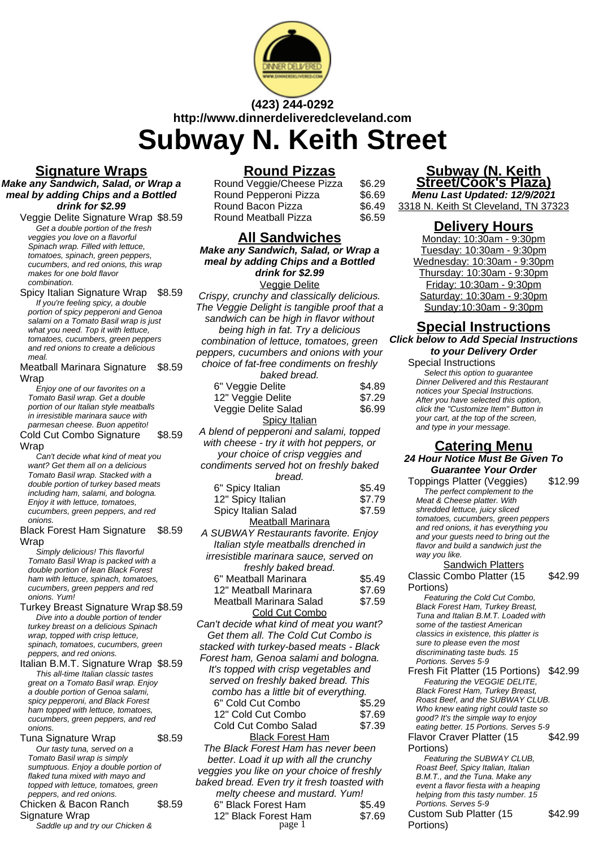

# **(423) 244-0292 http://www.dinnerdeliveredcleveland.com Subway N. Keith Street**

### **Signature Wraps**

**Make any Sandwich, Salad, or Wrap a meal by adding Chips and a Bottled drink for \$2.99**

Veggie Delite Signature Wrap \$8.59 Get a double portion of the fresh veggies you love on a flavorful Spinach wrap. Filled with lettuce. tomatoes, spinach, green peppers, cucumbers, and red onions, this wrap makes for one bold flavor combination.

Spicy Italian Signature Wrap \$8.59 If you're feeling spicy, a double portion of spicy pepperoni and Genoa salami on a Tomato Basil wrap is just what you need. Top it with lettuce, tomatoes, cucumbers, green peppers and red onions to create a delicious meal.

Meatball Marinara Signature Wrap \$8.59

Enjoy one of our favorites on a Tomato Basil wrap. Get a double portion of our Italian style meatballs in irresistible marinara sauce with parmesan cheese. Buon appetito!

Cold Cut Combo Signature **Wrap** \$8.59

Can't decide what kind of meat you want? Get them all on a delicious Tomato Basil wrap. Stacked with a double portion of turkey based meats including ham, salami, and bologna. Enjoy it with lettuce, tomatoes, cucumbers, green peppers, and red onions.

Black Forest Ham Signature Wrap \$8.59

Simply delicious! This flavorful Tomato Basil Wrap is packed with a double portion of lean Black Forest ham with lettuce, spinach, tomatoes, cucumbers, green peppers and red onions. Yum!

#### Turkey Breast Signature Wrap \$8.59 Dive into a double portion of tender turkey breast on a delicious Spinach wrap, topped with crisp lettuce, spinach, tomatoes, cucumbers, green peppers, and red onions.

Italian B.M.T. Signature Wrap \$8.59 This all-time Italian classic tastes great on a Tomato Basil wrap. Enjoy a double portion of Genoa salami, spicy pepperoni, and Black Forest ham topped with lettuce, tomatoes, cucumbers, green peppers, and red onions.

Tuna Signature Wrap  $$8.59$ Our tasty tuna, served on a Tomato Basil wrap is simply sumptuous. Enjoy a double portion of flaked tuna mixed with mayo and topped with lettuce, tomatoes, green peppers, and red onions. Chicken & Bacon Ranch \$8.59

#### Signature Wrap Saddle up and try our Chicken &

# **Round Pizzas**

| Round Veggie/Cheese Pizza | \$6.29 |
|---------------------------|--------|
| Round Pepperoni Pizza     | \$6.69 |
| Round Bacon Pizza         | \$6.49 |
| Round Meatball Pizza      | \$6.59 |

# **All Sandwiches**

**Make any Sandwich, Salad, or Wrap a meal by adding Chips and a Bottled drink for \$2.99** Veggie Delite

Crispy, crunchy and classically delicious. The Veggie Delight is tangible proof that a sandwich can be high in flavor without being high in fat. Try a delicious combination of lettuce, tomatoes, green peppers, cucumbers and onions with your choice of fat-free condiments on freshly baked bread. 6" Veggie Delite  $$4.89$ 

| 12" Veggie Delite                   | \$7.29 |
|-------------------------------------|--------|
| Veggie Delite Salad                 | \$6.99 |
| <b>Spicy Italian</b>                |        |
| dand of nonnoroni and oolomi tonnod |        |

A blend of pepperoni and salami, topped with cheese - try it with hot peppers, or your choice of crisp veggies and condiments served hot on freshly baked

| maiments served not on iresniy baked |        |
|--------------------------------------|--------|
| bread.                               |        |
| 6" Spicy Italian                     | \$5.49 |
| 12" Spicy Italian                    | \$7.79 |
| Spicy Italian Salad                  | \$7.59 |
| <b>Meatball Marinara</b>             |        |

A SUBWAY Restaurants favorite. Enjoy Italian style meatballs drenched in irresistible marinara sauce, served on freshly baked bread.

| 6" Meatball Marinara    | \$5.49 |
|-------------------------|--------|
| 12" Meatball Marinara   | \$7.69 |
| Meatball Marinara Salad | \$7.59 |
| Cold Cut Combo          |        |

Can't decide what kind of meat you want? Get them all. The Cold Cut Combo is stacked with turkey-based meats - Black Forest ham, Genoa salami and bologna. It's topped with crisp vegetables and served on freshly baked bread. This combo has a little bit of everything. 6" Cold Cut Combo \$5.29 12" Cold Cut Combo \$7.69 Cold Cut Combo Salad \$7.39 Black Forest Ham

The Black Forest Ham has never been better. Load it up with all the crunchy veggies you like on your choice of freshly baked bread. Even try it fresh toasted with

| melty cheese and mustard. Yum! |        |
|--------------------------------|--------|
| 6" Black Forest Ham            | \$5.49 |
| 12" Black Forest Ham           | \$7.69 |
| page 1                         |        |

#### **Subway (N. Keith Street/Cook's Plaza)**

**Menu Last Updated: 12/9/2021** 3318 N. Keith St Cleveland, TN 37323

### **Delivery Hours**

Monday: 10:30am - 9:30pm Tuesday: 10:30am - 9:30pm Wednesday: 10:30am - 9:30pm Thursday: 10:30am - 9:30pm Friday: 10:30am - 9:30pm Saturday: 10:30am - 9:30pm Sunday:10:30am - 9:30pm

# **Special Instructions**

**Click below to Add Special Instructions to your Delivery Order**

Special Instructions

Select this option to quarantee Dinner Delivered and this Restaurant notices your Special Instructions. After you have selected this option, click the "Customize Item" Button in your cart, at the top of the screen, and type in your message.

#### **Catering Menu 24 Hour Notice Must Be Given To Guarantee Your Order**

Toppings Platter (Veggies) \$12.99 The perfect complement to the Meat & Cheese platter. With shredded lettuce, juicy sliced tomatoes, cucumbers, green peppers and red onions, it has everything you and your guests need to bring out the flavor and build a sandwich just the way you like.

**Sandwich Platters** Classic Combo Platter (15 Portions)

Featuring the Cold Cut Combo, Black Forest Ham, Turkey Breast, Tuna and Italian B.M.T. Loaded with some of the tastiest American classics in existence, this platter is sure to please even the most discriminating taste buds. 15 Portions. Serves 5-9

Fresh Fit Platter (15 Portions) \$42.99 Featuring the VEGGIE DELITE. Black Forest Ham, Turkey Breast, Roast Beef, and the SUBWAY CLUB. Who knew eating right could taste so good? It's the simple way to enjoy eating better. 15 Portions. Serves 5-9

Flavor Craver Platter (15 Portions) \$42.99

Featuring the SUBWAY CLUB, Roast Beef, Spicy Italian, Italian B.M.T., and the Tuna. Make any event a flavor fiesta with a heaping helping from this tasty number. 15 Portions. Serves 5-9 Custom Sub Platter (15

Portions)

\$42.99

\$42.99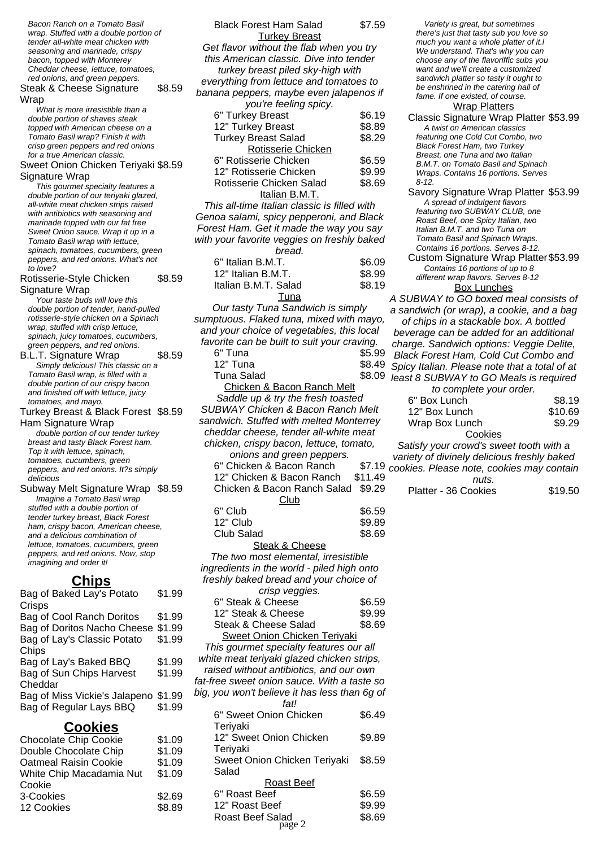Bacon Ranch on a Tomato Basil wrap. Stuffed with a double portion of tender all-white meat chicken with seasoning and marinade, crispy bacon, topped with Monterey Cheddar cheese, lettuce, tomatoes, red onions, and green peppers.

Steak & Cheese Signature Wrap \$8.59

What is more irresistible than a double portion of shaves steak topped with American cheese on a Tomato Basil wrap? Finish it with crisp green peppers and red onions for a true American classic.

Sweet Onion Chicken Teriyaki \$8.59 Signature Wrap

This gourmet specialty features a double portion of our teriyaki glazed, all-white meat chicken strips raised with antibiotics with seasoning and marinade topped with our fat free Sweet Onion sauce. Wrap it up in a Tomato Basil wrap with lettuce, spinach, tomatoes, cucumbers, green peppers, and red onions. What's not to love?

| Rotisserie-Style Chicken | \$8.59 |
|--------------------------|--------|
| Signature Wrap           |        |

Your taste buds will love this double portion of tender, hand-pulled rotisserie-style chicken on a Spinach wrap, stuffed with crisp lettuce, spinach, juicy tomatoes, cucumbers, green peppers, and red onions.

B.L.T. Signature Wrap \$8.59 Simply delicious! This classic on a Tomato Basil wrap, is filled with a double portion of our crispy bacon and finished off with lettuce, juicy tomatoes, and mayo.

Turkey Breast & Black Forest \$8.59 Ham Signature Wrap

double portion of our tender turkey breast and tasty Black Forest ham. Top it with lettuce, spinach, tomatoes, cucumbers, green peppers, and red onions. It?s simply delicious

Subway Melt Signature Wrap \$8.59 Imagine a Tomato Basil wrap stuffed with a double portion of tender turkey breast, Black Forest ham, crispy bacon, American cheese, and a delicious combination of lettuce, tomatoes, cucumbers, green peppers, and red onions. Now, stop imagining and order it!

#### **Chips**

Bag of Baked Lay's Potato **Crisps** \$1.99 Bag of Cool Ranch Doritos \$1.99 Bag of Doritos Nacho Cheese \$1.99 Bag of Lay's Classic Potato Chips \$1.99 Bag of Lay's Baked BBQ \$1.99 Bag of Sun Chips Harvest Cheddar \$1.99 Bag of Miss Vickie's Jalapeno \$1.99 Bag of Regular Lays BBQ \$1.99

| <b>Chocolate Chip Cookie</b> | \$1.09 |
|------------------------------|--------|
| Double Chocolate Chip        | \$1.09 |
| <b>Oatmeal Raisin Cookie</b> | \$1.09 |
| White Chip Macadamia Nut     | \$1.09 |
| Cookie                       |        |
| 3-Cookies                    | \$2.69 |
| 12 Cookies                   | \$8.89 |

| <b>Black Forest Ham Salad</b>                                                  | \$7.59          |              |
|--------------------------------------------------------------------------------|-----------------|--------------|
| <b>Turkey Breast</b>                                                           |                 |              |
| Get flavor without the flab when you try                                       |                 |              |
| this American classic. Dive into tender                                        |                 |              |
| turkey breast piled sky-high with                                              |                 |              |
| everything from lettuce and tomatoes to                                        |                 |              |
| banana peppers, maybe even jalapenos if                                        |                 |              |
| you're feeling spicy.<br>6" Turkey Breast                                      | \$6.19          |              |
| 12" Turkey Breast                                                              | \$8.89          |              |
| <b>Turkey Breast Salad</b>                                                     | \$8.29          |              |
| Rotisserie Chicken                                                             |                 |              |
| 6" Rotisserie Chicken                                                          | \$6.59          |              |
| 12" Rotisserie Chicken                                                         | \$9.99          |              |
| Rotisserie Chicken Salad                                                       | \$8.69          |              |
| Italian B.M.T.                                                                 |                 |              |
| This all-time Italian classic is filled with                                   |                 |              |
| Genoa salami, spicy pepperoni, and Black                                       |                 |              |
| Forest Ham. Get it made the way you say                                        |                 |              |
| with your favorite veggies on freshly baked                                    |                 |              |
| bread.                                                                         |                 |              |
| 6" Italian B.M.T.                                                              | \$6.09          |              |
| 12" Italian B.M.T.                                                             | \$8.99          |              |
| Italian B.M.T. Salad                                                           | \$8.19          |              |
| Tuna<br>Our tasty Tuna Sandwich is simply                                      |                 | А            |
| sumptuous. Flaked tuna, mixed with mayo,                                       |                 | $\mathbf{a}$ |
| and your choice of vegetables, this local                                      |                 |              |
| favorite can be built to suit your craving.                                    |                 | b            |
| 6" Tuna                                                                        | \$5.99          | cl           |
| 12" Tuna                                                                       | \$8.49          | Е            |
| Tuna Salad                                                                     | \$8.09          | S,<br>le     |
| <b>Chicken &amp; Bacon Ranch Melt</b>                                          |                 |              |
| Saddle up & try the fresh toasted                                              |                 |              |
| SUBWAY Chicken & Bacon Ranch Melt                                              |                 |              |
| sandwich. Stuffed with melted Monterrey                                        |                 |              |
| cheddar cheese, tender all-white meat                                          |                 |              |
| chicken, crispy bacon, lettuce, tomato,                                        |                 |              |
| onions and green peppers.                                                      |                 | V            |
| 6" Chicken & Bacon Ranch                                                       | $$7.19$ $^{co}$ |              |
| 12" Chicken & Bacon Ranch                                                      | \$11.49         |              |
| Chicken & Bacon Ranch Salad                                                    | \$9.29          |              |
| Club                                                                           |                 |              |
| 6" Club                                                                        | \$6.59          |              |
| 12" Club                                                                       | \$9.89          |              |
| <b>Club Salad</b>                                                              | \$8.69          |              |
| <b>Steak &amp; Cheese</b>                                                      |                 |              |
| The two most elemental, irresistible                                           |                 |              |
| ingredients in the world - piled high onto                                     |                 |              |
| freshly baked bread and your choice of                                         |                 |              |
| crisp veggies.                                                                 |                 |              |
| 6" Steak & Cheese<br>12" Steak & Cheese                                        | \$6.59          |              |
| <b>Steak &amp; Cheese Salad</b>                                                | \$9.99          |              |
|                                                                                | \$8.69          |              |
| <b>Sweet Onion Chicken Teriyaki</b><br>This gourmet specialty features our all |                 |              |
| white meat teriyaki glazed chicken strips,                                     |                 |              |
| raised without antibiotics, and our own                                        |                 |              |
|                                                                                |                 |              |

Variety is great, but sometimes there's just that tasty sub you love so much you want a whole platter of it.l We understand. That's why you can choose any of the flavoriffic subs you want and we'll create a customized sandwich platter so tasty it ought to be enshrined in the catering hall of fame. If one existed, of course.

#### Wrap Platters

- Classic Signature Wrap Platter \$53.99 A twist on American classics featuring one Cold Cut Combo, two Black Forest Ham, two Turkey Breast, one Tuna and two Italian B.M.T. on Tomato Basil and Spinach Wraps. Contains 16 portions. Serves 8-12. Savory Signature Wrap Platter \$53.99 A spread of indulgent flavors
- featuring two SUBWAY CLUB, one Roast Beef, one Spicy Italian, two Italian B.M.T. and two Tuna on Tomato Basil and Spinach Wraps. Contains 16 portions. Serves 8-12.
	- Custom Signature Wrap Platter\$53.99 Contains 16 portions of up to 8 different wrap flavors. Serves 8-12 Box Lunches

SUBWAY to GO boxed meal consists of sandwich (or wrap), a cookie, and a bag of chips in a stackable box. A bottled beverage can be added for an additional harge. Sandwich options: Veggie Delite, Black Forest Ham, Cold Cut Combo and picy Italian. Please note that a total of at ast 8 SUBWAY to GO Meals is required

| to complete your order. |         |
|-------------------------|---------|
| 6" Box Lunch            | \$8.19  |
| 12" Box Lunch           | \$10.69 |
| Wrap Box Lunch          | \$9.29  |
| Cookies                 |         |

Satisfy your crowd's sweet tooth with a ariety of divinely delicious freshly baked okies. Please note, cookies may contain nuts.

Platter - 36 Cookies \$19.50

Roast Beef 6" Roast Beef \$6.59 12" Roast Beef \$9.99 Roast Beef Salad<sub>2</sub> \$8.69

fat-free sweet onion sauce. With a taste so big, you won't believe it has less than 6g of fat!

\$6.49

\$9.89

\$8.59

6" Sweet Onion Chicken

12" Sweet Onion Chicken

Sweet Onion Chicken Teriyaki

Teriyaki

Teriyaki

Salad